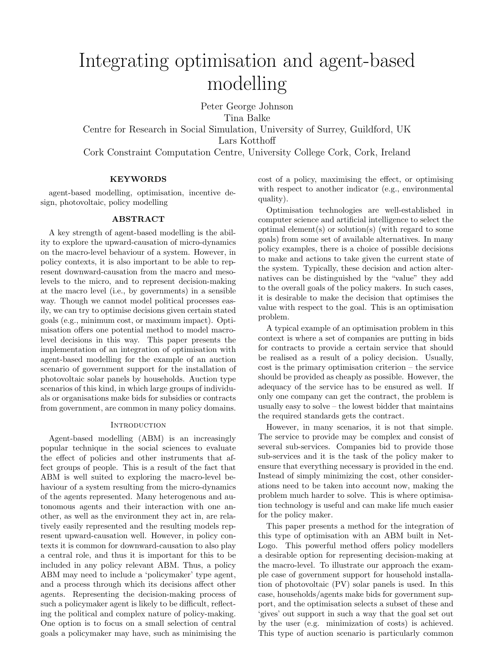# Integrating optimisation and agent-based modelling

Peter George Johnson Tina Balke Centre for Research in Social Simulation, University of Surrey, Guildford, UK Lars Kotthoff Cork Constraint Computation Centre, University College Cork, Cork, Ireland

# KEYWORDS

agent-based modelling, optimisation, incentive design, photovoltaic, policy modelling

# ABSTRACT

A key strength of agent-based modelling is the ability to explore the upward-causation of micro-dynamics on the macro-level behaviour of a system. However, in policy contexts, it is also important to be able to represent downward-causation from the macro and mesolevels to the micro, and to represent decision-making at the macro level (i.e., by governments) in a sensible way. Though we cannot model political processes easily, we can try to optimise decisions given certain stated goals (e.g., minimum cost, or maximum impact). Optimisation offers one potential method to model macrolevel decisions in this way. This paper presents the implementation of an integration of optimisation with agent-based modelling for the example of an auction scenario of government support for the installation of photovoltaic solar panels by households. Auction type scenarios of this kind, in which large groups of individuals or organisations make bids for subsidies or contracts from government, are common in many policy domains.

# **INTRODUCTION**

Agent-based modelling (ABM) is an increasingly popular technique in the social sciences to evaluate the effect of policies and other instruments that affect groups of people. This is a result of the fact that ABM is well suited to exploring the macro-level behaviour of a system resulting from the micro-dynamics of the agents represented. Many heterogenous and autonomous agents and their interaction with one another, as well as the environment they act in, are relatively easily represented and the resulting models represent upward-causation well. However, in policy contexts it is common for downward-causation to also play a central role, and thus it is important for this to be included in any policy relevant ABM. Thus, a policy ABM may need to include a 'policymaker' type agent, and a process through which its decisions affect other agents. Representing the decision-making process of such a policymaker agent is likely to be difficult, reflecting the political and complex nature of policy-making. One option is to focus on a small selection of central goals a policymaker may have, such as minimising the cost of a policy, maximising the effect, or optimising with respect to another indicator (e.g., environmental quality).

Optimisation technologies are well-established in computer science and artificial intelligence to select the optimal element(s) or solution(s) (with regard to some goals) from some set of available alternatives. In many policy examples, there is a choice of possible decisions to make and actions to take given the current state of the system. Typically, these decision and action alternatives can be distinguished by the "value" they add to the overall goals of the policy makers. In such cases, it is desirable to make the decision that optimises the value with respect to the goal. This is an optimisation problem.

A typical example of an optimisation problem in this context is where a set of companies are putting in bids for contracts to provide a certain service that should be realised as a result of a policy decision. Usually, cost is the primary optimisation criterion – the service should be provided as cheaply as possible. However, the adequacy of the service has to be ensured as well. If only one company can get the contract, the problem is usually easy to solve – the lowest bidder that maintains the required standards gets the contract.

However, in many scenarios, it is not that simple. The service to provide may be complex and consist of several sub-services. Companies bid to provide those sub-services and it is the task of the policy maker to ensure that everything necessary is provided in the end. Instead of simply minimizing the cost, other considerations need to be taken into account now, making the problem much harder to solve. This is where optimisation technology is useful and can make life much easier for the policy maker.

This paper presents a method for the integration of this type of optimisation with an ABM built in Net-Logo. This powerful method offers policy modellers a desirable option for representing decision-making at the macro-level. To illustrate our approach the example case of government support for household installation of photovoltaic (PV) solar panels is used. In this case, households/agents make bids for government support, and the optimisation selects a subset of these and 'gives' out support in such a way that the goal set out by the user (e.g. minimization of costs) is achieved. This type of auction scenario is particularly common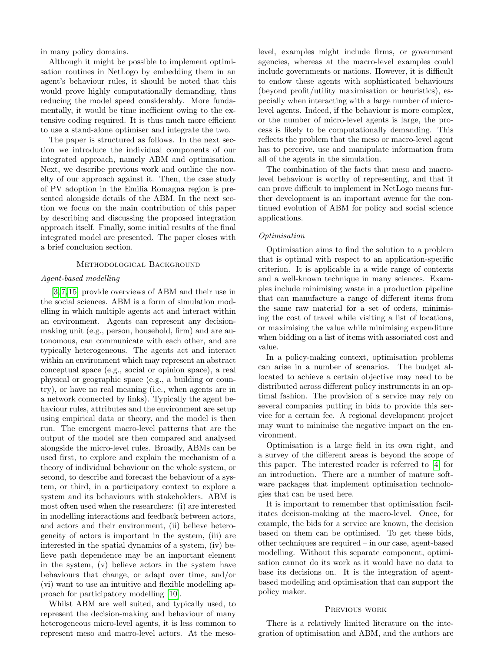in many policy domains.

Although it might be possible to implement optimisation routines in NetLogo by embedding them in an agent's behaviour rules, it should be noted that this would prove highly computationally demanding, thus reducing the model speed considerably. More fundamentally, it would be time inefficient owing to the extensive coding required. It is thus much more efficient to use a stand-alone optimiser and integrate the two.

The paper is structured as follows. In the next section we introduce the individual components of our integrated approach, namely ABM and optimisation. Next, we describe previous work and outline the novelty of our approach against it. Then, the case study of PV adoption in the Emilia Romagna region is presented alongside details of the ABM. In the next section we focus on the main contribution of this paper by describing and discussing the proposed integration approach itself. Finally, some initial results of the final integrated model are presented. The paper closes with a brief conclusion section.

# Methodological Background

## Agent-based modelling

[\[3,](#page-5-0) [7,](#page-5-1) [15\]](#page-6-0) provide overviews of ABM and their use in the social sciences. ABM is a form of simulation modelling in which multiple agents act and interact within an environment. Agents can represent any decisionmaking unit (e.g., person, household, firm) and are autonomous, can communicate with each other, and are typically heterogeneous. The agents act and interact within an environment which may represent an abstract conceptual space (e.g., social or opinion space), a real physical or geographic space (e.g., a building or country), or have no real meaning (i.e., when agents are in a network connected by links). Typically the agent behaviour rules, attributes and the environment are setup using empirical data or theory, and the model is then run. The emergent macro-level patterns that are the output of the model are then compared and analysed alongside the micro-level rules. Broadly, ABMs can be used first, to explore and explain the mechanism of a theory of individual behaviour on the whole system, or second, to describe and forecast the behaviour of a system, or third, in a participatory context to explore a system and its behaviours with stakeholders. ABM is most often used when the researchers: (i) are interested in modelling interactions and feedback between actors, and actors and their environment, (ii) believe heterogeneity of actors is important in the system, (iii) are interested in the spatial dynamics of a system, (iv) believe path dependence may be an important element in the system, (v) believe actors in the system have behaviours that change, or adapt over time, and/or (vi) want to use an intuitive and flexible modelling approach for participatory modelling [\[10\]](#page-6-1).

Whilst ABM are well suited, and typically used, to represent the decision-making and behaviour of many heterogeneous micro-level agents, it is less common to represent meso and macro-level actors. At the mesolevel, examples might include firms, or government agencies, whereas at the macro-level examples could include governments or nations. However, it is difficult to endow these agents with sophisticated behaviours (beyond profit/utility maximisation or heuristics), especially when interacting with a large number of microlevel agents. Indeed, if the behaviour is more complex, or the number of micro-level agents is large, the process is likely to be computationally demanding. This reflects the problem that the meso or macro-level agent has to perceive, use and manipulate information from all of the agents in the simulation.

The combination of the facts that meso and macrolevel behaviour is worthy of representing, and that it can prove difficult to implement in NetLogo means further development is an important avenue for the continued evolution of ABM for policy and social science applications.

## Optimisation

Optimisation aims to find the solution to a problem that is optimal with respect to an application-specific criterion. It is applicable in a wide range of contexts and a well-known technique in many sciences. Examples include minimising waste in a production pipeline that can manufacture a range of different items from the same raw material for a set of orders, minimising the cost of travel while visiting a list of locations, or maximising the value while minimising expenditure when bidding on a list of items with associated cost and value.

In a policy-making context, optimisation problems can arise in a number of scenarios. The budget allocated to achieve a certain objective may need to be distributed across different policy instruments in an optimal fashion. The provision of a service may rely on several companies putting in bids to provide this service for a certain fee. A regional development project may want to minimise the negative impact on the environment.

Optimisation is a large field in its own right, and a survey of the different areas is beyond the scope of this paper. The interested reader is referred to [\[4\]](#page-5-2) for an introduction. There are a number of mature software packages that implement optimisation technologies that can be used here.

It is important to remember that optimisation facilitates decision-making at the macro-level. Once, for example, the bids for a service are known, the decision based on them can be optimised. To get these bids, other techniques are required – in our case, agent-based modelling. Without this separate component, optimisation cannot do its work as it would have no data to base its decisions on. It is the integration of agentbased modelling and optimisation that can support the policy maker.

#### Previous work

There is a relatively limited literature on the integration of optimisation and ABM, and the authors are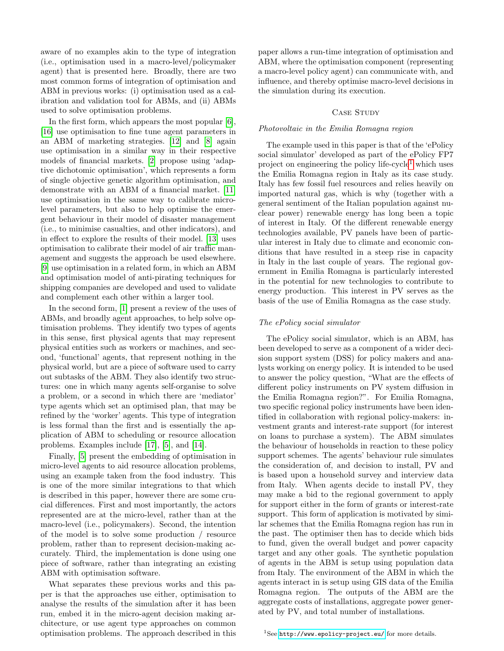aware of no examples akin to the type of integration (i.e., optimisation used in a macro-level/policymaker agent) that is presented here. Broadly, there are two most common forms of integration of optimisation and ABM in previous works: (i) optimisation used as a calibration and validation tool for ABMs, and (ii) ABMs used to solve optimisation problems.

In the first form, which appears the most popular [\[6\]](#page-5-3), [\[16\]](#page-6-2) use optimisation to fine tune agent parameters in an ABM of marketing strategies. [\[12\]](#page-6-3) and [\[8\]](#page-6-4) again use optimisation in a similar way in their respective models of financial markets. [\[2\]](#page-5-4) propose using 'adaptive dichotomic optimisation', which represents a form of single objective genetic algorithm optimisation, and demonstrate with an ABM of a financial market. [\[11\]](#page-6-5) use optimisation in the same way to calibrate microlevel parameters, but also to help optimise the emergent behaviour in their model of disaster management (i.e., to minimise casualties, and other indicators), and in effect to explore the results of their model. [\[13\]](#page-6-6) uses optimisation to calibrate their model of air traffic management and suggests the approach be used elsewhere. [\[9\]](#page-6-7) use optimisation in a related form, in which an ABM and optimisation model of anti-pirating techniques for shipping companies are developed and used to validate and complement each other within a larger tool.

In the second form, [\[1\]](#page-5-5) present a review of the uses of ABMs, and broadly agent approaches, to help solve optimisation problems. They identify two types of agents in this sense, first physical agents that may represent physical entities such as workers or machines, and second, 'functional' agents, that represent nothing in the physical world, but are a piece of software used to carry out subtasks of the ABM. They also identify two structures: one in which many agents self-organise to solve a problem, or a second in which there are 'mediator' type agents which set an optimised plan, that may be refined by the 'worker' agents. This type of integration is less formal than the first and is essentially the application of ABM to scheduling or resource allocation problems. Examples include [\[17\]](#page-6-8), [\[5\]](#page-5-6), and [\[14\]](#page-6-9).

Finally, [\[5\]](#page-5-6) present the embedding of optimisation in micro-level agents to aid resource allocation problems, using an example taken from the food industry. This is one of the more similar integrations to that which is described in this paper, however there are some crucial differences. First and most importantly, the actors represented are at the micro-level, rather than at the macro-level (i.e., policymakers). Second, the intention of the model is to solve some production / resource problem, rather than to represent decision-making accurately. Third, the implementation is done using one piece of software, rather than integrating an existing ABM with optimisation software.

<span id="page-2-0"></span>What separates these previous works and this paper is that the approaches use either, optimisation to analyse the results of the simulation after it has been run, embed it in the micro-agent decision making architecture, or use agent type approaches on common optimisation problems. The approach described in this

paper allows a run-time integration of optimisation and ABM, where the optimisation component (representing a macro-level policy agent) can communicate with, and influence, and thereby optimise macro-level decisions in the simulation during its execution.

# CASE STUDY

## Photovoltaic in the Emilia Romagna region

The example used in this paper is that of the 'ePolicy social simulator' developed as part of the ePolicy FP7 project on engineering the policy life-cycle<sup>[1](#page-2-0)</sup> which uses the Emilia Romagna region in Italy as its case study. Italy has few fossil fuel resources and relies heavily on imported natural gas, which is why (together with a general sentiment of the Italian population against nuclear power) renewable energy has long been a topic of interest in Italy. Of the different renewable energy technologies available, PV panels have been of particular interest in Italy due to climate and economic conditions that have resulted in a steep rise in capacity in Italy in the last couple of years. The regional government in Emilia Romagna is particularly interested in the potential for new technologies to contribute to energy production. This interest in PV serves as the basis of the use of Emilia Romagna as the case study.

## The ePolicy social simulator

The ePolicy social simulator, which is an ABM, has been developed to serve as a component of a wider decision support system (DSS) for policy makers and analysts working on energy policy. It is intended to be used to answer the policy question, "What are the effects of different policy instruments on PV system diffusion in the Emilia Romagna region?". For Emilia Romagna, two specific regional policy instruments have been identified in collaboration with regional policy-makers: investment grants and interest-rate support (for interest on loans to purchase a system). The ABM simulates the behaviour of households in reaction to these policy support schemes. The agents' behaviour rule simulates the consideration of, and decision to install, PV and is based upon a household survey and interview data from Italy. When agents decide to install PV, they may make a bid to the regional government to apply for support either in the form of grants or interest-rate support. This form of application is motivated by similar schemes that the Emilia Romagna region has run in the past. The optimiser then has to decide which bids to fund, given the overall budget and power capacity target and any other goals. The synthetic population of agents in the ABM is setup using population data from Italy. The environment of the ABM in which the agents interact in is setup using GIS data of the Emilia Romagna region. The outputs of the ABM are the aggregate costs of installations, aggregate power generated by PV, and total number of installations.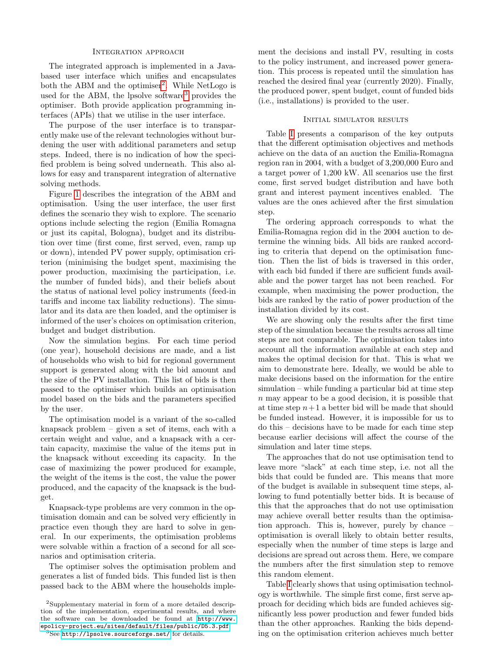## Integration approach

The integrated approach is implemented in a Javabased user interface which unifies and encapsulates both the ABM and the optimiser<sup>[2](#page-3-0)</sup>. While NetLogo is used for the ABM, the lpsolve software<sup>[3](#page-3-1)</sup> provides the optimiser. Both provide application programming interfaces (APIs) that we utilise in the user interface.

The purpose of the user interface is to transparently make use of the relevant technologies without burdening the user with additional parameters and setup steps. Indeed, there is no indication of how the specified problem is being solved underneath. This also allows for easy and transparent integration of alternative solving methods.

Figure [1](#page-4-0) describes the integration of the ABM and optimisation. Using the user interface, the user first defines the scenario they wish to explore. The scenario options include selecting the region (Emilia Romagna or just its capital, Bologna), budget and its distribution over time (first come, first served, even, ramp up or down), intended PV power supply, optimisation criterion (minimising the budget spent, maximising the power production, maximising the participation, i.e. the number of funded bids), and their beliefs about the status of national level policy instruments (feed-in tariffs and income tax liability reductions). The simulator and its data are then loaded, and the optimiser is informed of the user's choices on optimisation criterion, budget and budget distribution.

Now the simulation begins. For each time period (one year), household decisions are made, and a list of households who wish to bid for regional government support is generated along with the bid amount and the size of the PV installation. This list of bids is then passed to the optimiser which builds an optimisation model based on the bids and the parameters specified by the user.

The optimisation model is a variant of the so-called knapsack problem – given a set of items, each with a certain weight and value, and a knapsack with a certain capacity, maximise the value of the items put in the knapsack without exceeding its capacity. In the case of maximizing the power produced for example, the weight of the items is the cost, the value the power produced, and the capacity of the knapsack is the budget.

Knapsack-type problems are very common in the optimisation domain and can be solved very efficiently in practice even though they are hard to solve in general. In our experiments, the optimisation problems were solvable within a fraction of a second for all scenarios and optimisation criteria.

The optimiser solves the optimisation problem and generates a list of funded bids. This funded list is then passed back to the ABM where the households imple-

ment the decisions and install PV, resulting in costs to the policy instrument, and increased power generation. This process is repeated until the simulation has reached the desired final year (currently 2020). Finally, the produced power, spent budget, count of funded bids (i.e., installations) is provided to the user.

### Initial simulator results

Table [I](#page-5-7) presents a comparison of the key outputs that the different optimisation objectives and methods achieve on the data of an auction the Emilia-Romagna region ran in 2004, with a budget of 3,200,000 Euro and a target power of 1,200 kW. All scenarios use the first come, first served budget distribution and have both grant and interest payment incentives enabled. The values are the ones achieved after the first simulation step.

The ordering approach corresponds to what the Emilia-Romagna region did in the 2004 auction to determine the winning bids. All bids are ranked according to criteria that depend on the optimisation function. Then the list of bids is traversed in this order, with each bid funded if there are sufficient funds available and the power target has not been reached. For example, when maximising the power production, the bids are ranked by the ratio of power production of the installation divided by its cost.

We are showing only the results after the first time step of the simulation because the results across all time steps are not comparable. The optimisation takes into account all the information available at each step and makes the optimal decision for that. This is what we aim to demonstrate here. Ideally, we would be able to make decisions based on the information for the entire simulation – while funding a particular bid at time step n may appear to be a good decision, it is possible that at time step  $n+1$  a better bid will be made that should be funded instead. However, it is impossible for us to do this – decisions have to be made for each time step because earlier decisions will affect the course of the simulation and later time steps.

The approaches that do not use optimisation tend to leave more "slack" at each time step, i.e. not all the bids that could be funded are. This means that more of the budget is available in subsequent time steps, allowing to fund potentially better bids. It is because of this that the approaches that do not use optimisation may achieve overall better results than the optimisation approach. This is, however, purely by chance – optimisation is overall likely to obtain better results, especially when the number of time steps is large and decisions are spread out across them. Here, we compare the numbers after the first simulation step to remove this random element.

Table [I](#page-5-7) clearly shows that using optimisation technology is worthwhile. The simple first come, first serve approach for deciding which bids are funded achieves significantly less power production and fewer funded bids than the other approaches. Ranking the bids depending on the optimisation criterion achieves much better

<span id="page-3-0"></span><sup>2</sup>Supplementary material in form of a more detailed description of the implementation, experimental results, and where the software can be downloaded be found at [http://www.](http://www.epolicy-project.eu/sites/default/files/public/D5.3.pdf) [epolicy-project.eu/sites/default/files/public/D5.3.pdf](http://www.epolicy-project.eu/sites/default/files/public/D5.3.pdf).

<span id="page-3-1"></span> ${}^{3}$ See http://1psolve.sourceforge.net/ for details.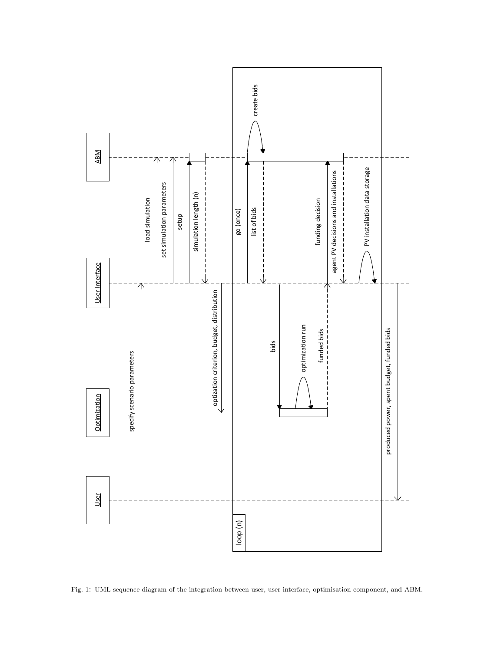

<span id="page-4-0"></span>Fig. 1: UML sequence diagram of the integration between user, user interface, optimisation component, and ABM.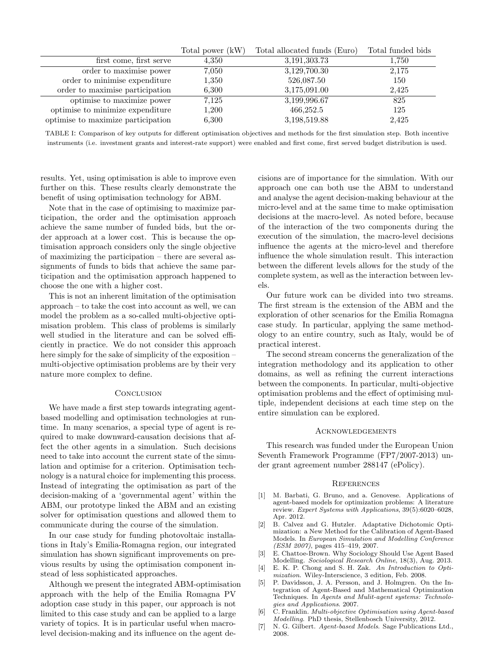|                                    | Total power (kW) | Total allocated funds (Euro) | Total funded bids |
|------------------------------------|------------------|------------------------------|-------------------|
| first come, first serve            | 4,350            | 3,191,303.73                 | $1.750\,$         |
| order to maximise power            | 7,050            | 3,129,700.30                 | 2,175             |
| order to minimise expenditure      | 1,350            | 526,087.50                   | 150               |
| order to maximise participation    | 6,300            | 3,175,091.00                 | 2,425             |
| optimise to maximize power         | 7,125            | 3,199,996.67                 | 825               |
| optimise to minimize expenditure   | 1,200            | 466,252.5                    | 125               |
| optimise to maximize participation | 6,300            | 3,198,519.88                 | 2,425             |

<span id="page-5-7"></span>TABLE I: Comparison of key outputs for different optimisation objectives and methods for the first simulation step. Both incentive instruments (i.e. investment grants and interest-rate support) were enabled and first come, first served budget distribution is used.

results. Yet, using optimisation is able to improve even further on this. These results clearly demonstrate the benefit of using optimisation technology for ABM.

Note that in the case of optimising to maximize participation, the order and the optimisation approach achieve the same number of funded bids, but the order approach at a lower cost. This is because the optimisation approach considers only the single objective of maximizing the participation – there are several assignments of funds to bids that achieve the same participation and the optimisation approach happened to choose the one with a higher cost.

This is not an inherent limitation of the optimisation approach – to take the cost into account as well, we can model the problem as a so-called multi-objective optimisation problem. This class of problems is similarly well studied in the literature and can be solved efficiently in practice. We do not consider this approach here simply for the sake of simplicity of the exposition – multi-objective optimisation problems are by their very nature more complex to define.

# **CONCLUSION**

We have made a first step towards integrating agentbased modelling and optimisation technologies at runtime. In many scenarios, a special type of agent is required to make downward-causation decisions that affect the other agents in a simulation. Such decisions need to take into account the current state of the simulation and optimise for a criterion. Optimisation technology is a natural choice for implementing this process. Instead of integrating the optimisation as part of the decision-making of a 'governmental agent' within the ABM, our prototype linked the ABM and an existing solver for optimisation questions and allowed them to communicate during the course of the simulation.

In our case study for funding photovoltaic installations in Italy's Emilia-Romagna region, our integrated simulation has shown significant improvements on previous results by using the optimisation component instead of less sophisticated approaches.

Although we present the integrated ABM-optimisation approach with the help of the Emilia Romagna PV adoption case study in this paper, our approach is not limited to this case study and can be applied to a large variety of topics. It is in particular useful when macrolevel decision-making and its influence on the agent decisions are of importance for the simulation. With our approach one can both use the ABM to understand and analyse the agent decision-making behaviour at the micro-level and at the same time to make optimisation decisions at the macro-level. As noted before, because of the interaction of the two components during the execution of the simulation, the macro-level decisions influence the agents at the micro-level and therefore influence the whole simulation result. This interaction between the different levels allows for the study of the complete system, as well as the interaction between levels.

Our future work can be divided into two streams. The first stream is the extension of the ABM and the exploration of other scenarios for the Emilia Romagna case study. In particular, applying the same methodology to an entire country, such as Italy, would be of practical interest.

The second stream concerns the generalization of the integration methodology and its application to other domains, as well as refining the current interactions between the components. In particular, multi-objective optimisation problems and the effect of optimising multiple, independent decisions at each time step on the entire simulation can be explored.

### **ACKNOWLEDGEMENTS**

This research was funded under the European Union Seventh Framework Programme (FP7/2007-2013) under grant agreement number 288147 (ePolicy).

# **REFERENCES**

- <span id="page-5-5"></span>[1] M. Barbati, G. Bruno, and a. Genovese. Applications of agent-based models for optimization problems: A literature review. Expert Systems with Applications, 39(5):6020–6028, Apr. 2012.
- <span id="page-5-4"></span>[2] B. Calvez and G. Hutzler. Adaptative Dichotomic Optimization: a New Method for the Calibration of Agent-Based Models. In European Simulation and Modelling Conference (ESM 2007), pages 415–419, 2007.
- <span id="page-5-0"></span>[3] E. Chattoe-Brown. Why Sociology Should Use Agent Based Modelling. Sociological Research Online, 18(3), Aug. 2013.
- <span id="page-5-2"></span>[4] E. K. P. Chong and S. H. Zak. An Introduction to Optimization. Wiley-Interscience, 3 edition, Feb. 2008.
- <span id="page-5-6"></span>[5] P. Davidsson, J. A. Persson, and J. Holmgren. On the Integration of Agent-Based and Mathematical Optimization Techniques. In Agents and Mulit-agent systems: Technologies and Applications. 2007.
- <span id="page-5-3"></span>[6] C. Franklin. Multi-objective Optimisation using Agent-based Modelling. PhD thesis, Stellenbosch University, 2012.
- <span id="page-5-1"></span>[7] N. G. Gilbert. Agent-based Models. Sage Publications Ltd., 2008.